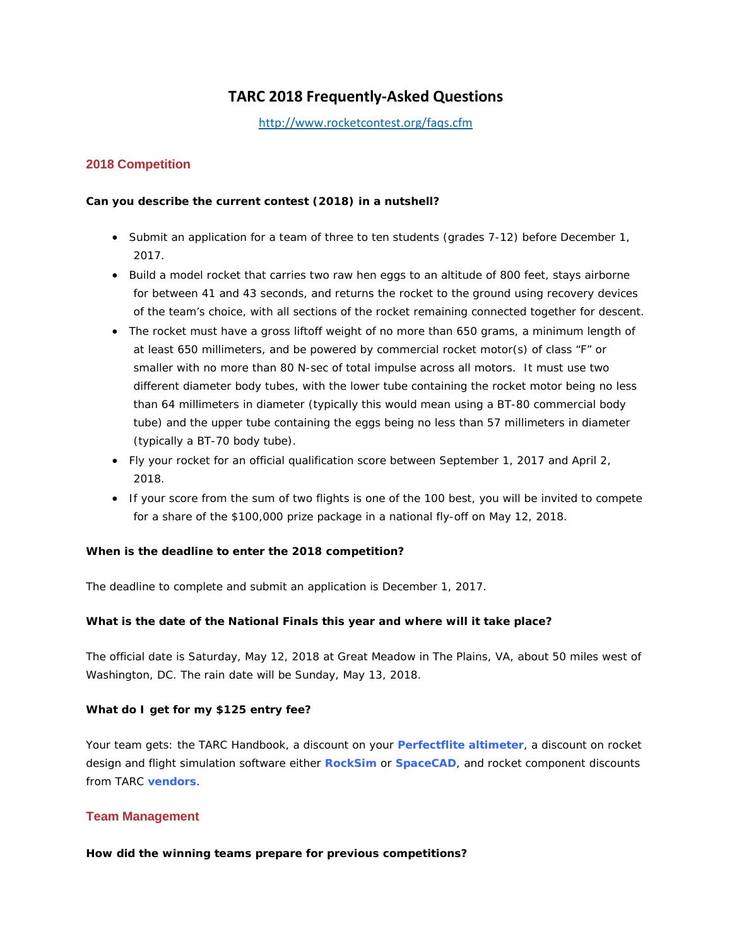# **TARC 2018 Frequently-Asked Questions**

<http://www.rocketcontest.org/faqs.cfm>

### **2018 Competition**

### **Can you describe the current contest (2018) in a nutshell?**

- Submit an application for a team of three to ten students (grades 7-12) before December 1, 2017.
- Build a model rocket that carries two raw hen eggs to an altitude of 800 feet, stays airborne for between 41 and 43 seconds, and returns the rocket to the ground using recovery devices of the team's choice, with all sections of the rocket remaining connected together for descent.
- The rocket must have a gross liftoff weight of no more than 650 grams, a minimum length of at least 650 millimeters, and be powered by commercial rocket motor(s) of class "F" or smaller with no more than 80 N-sec of total impulse across all motors. It must use two different diameter body tubes, with the lower tube containing the rocket motor being no less than 64 millimeters in diameter (typically this would mean using a BT-80 commercial body tube) and the upper tube containing the eggs being no less than 57 millimeters in diameter (typically a BT-70 body tube).
- Fly your rocket for an official qualification score between September 1, 2017 and April 2, 2018.
- If your score from the sum of two flights is one of the 100 best, you will be invited to compete for a share of the \$100,000 prize package in a national fly-off on May 12, 2018.

### **When is the deadline to enter the 2018 competition?**

The deadline to complete and submit an application is December 1, 2017.

### **What is the date of the National Finals this year and where will it take place?**

The official date is Saturday, May 12, 2018 at Great Meadow in The Plains, VA, about 50 miles west of Washington, DC. The rain date will be Sunday, May 13, 2018.

### **What do I get for my \$125 entry fee?**

Your team gets: the TARC Handbook, a discount on your **[Perfectflite altimeter](http://www.perfectflite.com/)**, a discount on rocket design and flight simulation software either **[RockSim](http://www.apogeerockets.com/rocksim.asp)** or **[SpaceCAD](http://tarc.spacecad.com/)**, and rocket component discounts from TARC **[vendors](http://www.rocketcontest.org/vendors.cfm)**.

### **Team Management**

### **How did the winning teams prepare for previous competitions?**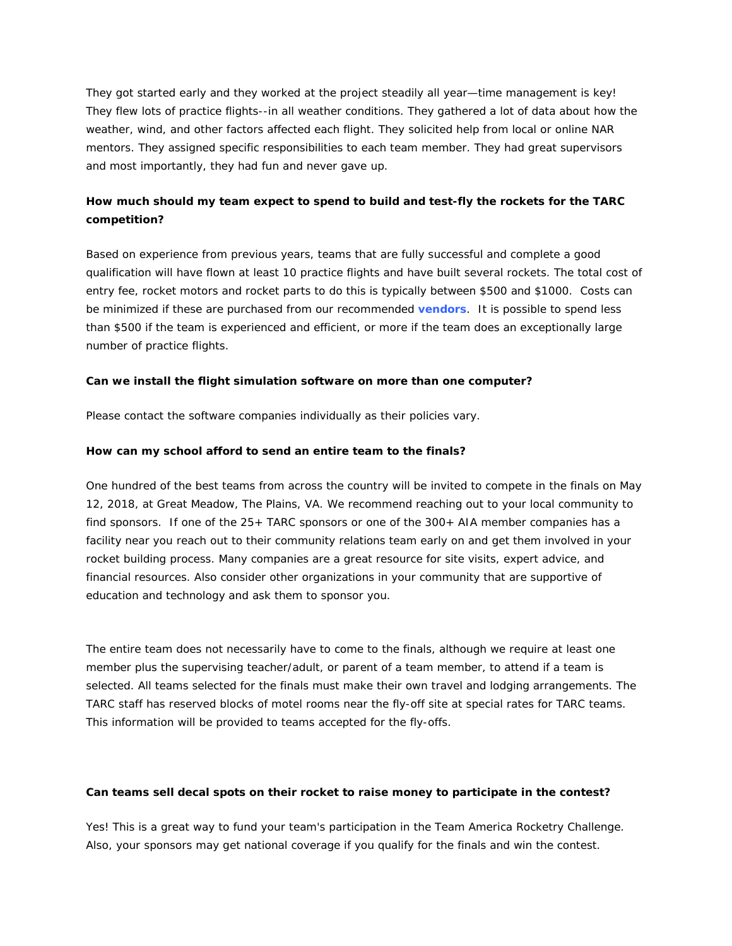They got started early and they worked at the project steadily all year—time management is key! They flew lots of practice flights--in all weather conditions. They gathered a lot of data about how the weather, wind, and other factors affected each flight. They solicited help from local or online NAR mentors. They assigned specific responsibilities to each team member. They had great supervisors and most importantly, they had fun and never gave up.

## **How much should my team expect to spend to build and test-fly the rockets for the TARC competition?**

Based on experience from previous years, teams that are fully successful and complete a good qualification will have flown at least 10 practice flights and have built several rockets. The total cost of entry fee, rocket motors and rocket parts to do this is typically between \$500 and \$1000. Costs can be minimized if these are purchased from our recommended **[vendors](http://www.rocketcontest.org/vendors.cfm)**. It is possible to spend less than \$500 if the team is experienced and efficient, or more if the team does an exceptionally large number of practice flights.

### **Can we install the flight simulation software on more than one computer?**

Please contact the software companies individually as their policies vary.

#### **How can my school afford to send an entire team to the finals?**

One hundred of the best teams from across the country will be invited to compete in the finals on May 12, 2018, at Great Meadow, The Plains, VA. We recommend reaching out to your local community to find sponsors. If one of the 25+ TARC sponsors or one of the 300+ AIA member companies has a facility near you reach out to their community relations team early on and get them involved in your rocket building process. Many companies are a great resource for site visits, expert advice, and financial resources. Also consider other organizations in your community that are supportive of education and technology and ask them to sponsor you.

The entire team does not necessarily have to come to the finals, although we require at least one member plus the supervising teacher/adult, or parent of a team member, to attend if a team is selected. All teams selected for the finals must make their own travel and lodging arrangements. The TARC staff has reserved blocks of motel rooms near the fly-off site at special rates for TARC teams. This information will be provided to teams accepted for the fly-offs.

#### **Can teams sell decal spots on their rocket to raise money to participate in the contest?**

Yes! This is a great way to fund your team's participation in the Team America Rocketry Challenge. Also, your sponsors may get national coverage if you qualify for the finals and win the contest.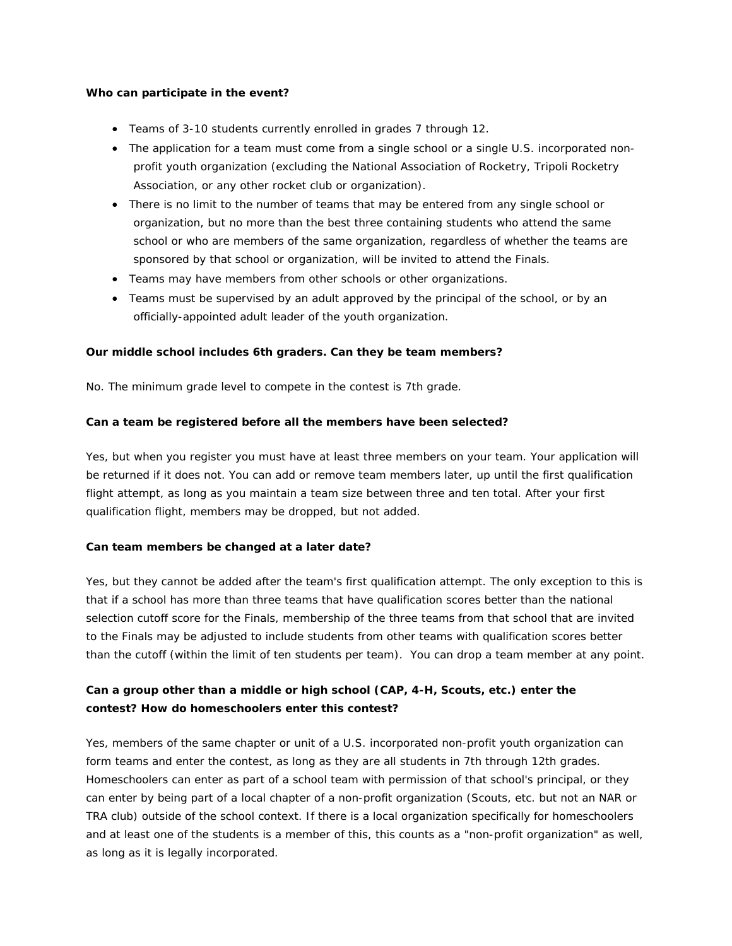#### **Who can participate in the event?**

- Teams of 3-10 students currently enrolled in grades 7 through 12.
- The application for a team must come from a single school or a single U.S. incorporated nonprofit youth organization (excluding the National Association of Rocketry, Tripoli Rocketry Association, or any other rocket club or organization).
- There is no limit to the number of teams that may be entered from any single school or organization, but no more than the best three containing students who attend the same school or who are members of the same organization, regardless of whether the teams are sponsored by that school or organization, will be invited to attend the Finals.
- Teams may have members from other schools or other organizations.
- Teams must be supervised by an adult approved by the principal of the school, or by an officially-appointed adult leader of the youth organization.

### **Our middle school includes 6th graders. Can they be team members?**

No. The minimum grade level to compete in the contest is 7th grade.

### **Can a team be registered before all the members have been selected?**

Yes, but when you register you must have at least three members on your team. Your application will be returned if it does not. You can add or remove team members later, up until the first qualification flight attempt, as long as you maintain a team size between three and ten total. After your first qualification flight, members may be dropped, but not added.

### **Can team members be changed at a later date?**

Yes, but they cannot be added after the team's first qualification attempt. The only exception to this is that if a school has more than three teams that have qualification scores better than the national selection cutoff score for the Finals, membership of the three teams from that school that are invited to the Finals may be adjusted to include students from other teams with qualification scores better than the cutoff (within the limit of ten students per team). You can drop a team member at any point.

### **Can a group other than a middle or high school (CAP, 4-H, Scouts, etc.) enter the contest? How do homeschoolers enter this contest?**

Yes, members of the same chapter or unit of a U.S. incorporated non-profit youth organization can form teams and enter the contest, as long as they are all students in 7th through 12th grades. Homeschoolers can enter as part of a school team with permission of that school's principal, or they can enter by being part of a local chapter of a non-profit organization (Scouts, etc. but not an NAR or TRA club) outside of the school context. If there is a local organization specifically for homeschoolers and at least one of the students is a member of this, this counts as a "non-profit organization" as well, as long as it is legally incorporated.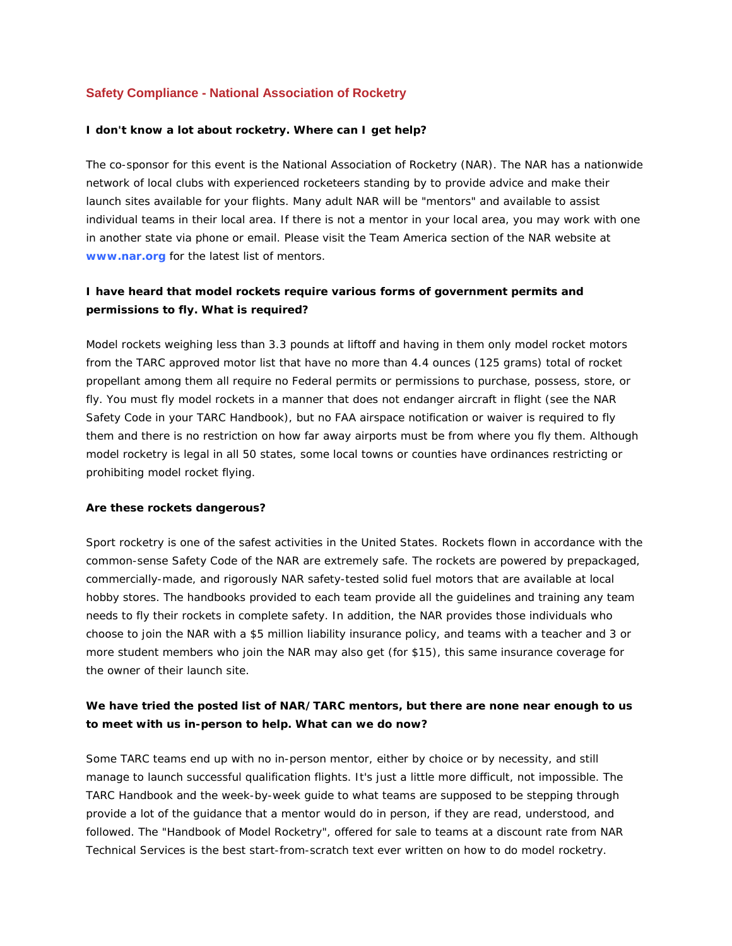### **Safety Compliance - National Association of Rocketry**

#### **I don't know a lot about rocketry. Where can I get help?**

The co-sponsor for this event is the National Association of Rocketry (NAR). The NAR has a nationwide network of local clubs with experienced rocketeers standing by to provide advice and make their launch sites available for your flights. Many adult NAR will be "mentors" and available to assist individual teams in their local area. If there is not a mentor in your local area, you may work with one in another state via phone or email. Please visit the Team America section of the NAR website at **[www.nar.org](http://www.nar.org/)** for the latest list of mentors.

### **I have heard that model rockets require various forms of government permits and permissions to fly. What is required?**

Model rockets weighing less than 3.3 pounds at liftoff and having in them only model rocket motors from the TARC approved motor list that have no more than 4.4 ounces (125 grams) total of rocket propellant among them all require no Federal permits or permissions to purchase, possess, store, or fly. You must fly model rockets in a manner that does not endanger aircraft in flight (see the NAR Safety Code in your TARC Handbook), but no FAA airspace notification or waiver is required to fly them and there is no restriction on how far away airports must be from where you fly them. Although model rocketry is legal in all 50 states, some local towns or counties have ordinances restricting or prohibiting model rocket flying.

#### **Are these rockets dangerous?**

Sport rocketry is one of the safest activities in the United States. Rockets flown in accordance with the common-sense Safety Code of the NAR are extremely safe. The rockets are powered by prepackaged, commercially-made, and rigorously NAR safety-tested solid fuel motors that are available at local hobby stores. The handbooks provided to each team provide all the guidelines and training any team needs to fly their rockets in complete safety. In addition, the NAR provides those individuals who choose to join the NAR with a \$5 million liability insurance policy, and teams with a teacher and 3 or more student members who join the NAR may also get (for \$15), this same insurance coverage for the owner of their launch site.

### **We have tried the posted list of NAR/TARC mentors, but there are none near enough to us to meet with us in-person to help. What can we do now?**

Some TARC teams end up with no in-person mentor, either by choice or by necessity, and still manage to launch successful qualification flights. It's just a little more difficult, not impossible. The TARC Handbook and the week-by-week guide to what teams are supposed to be stepping through provide a lot of the guidance that a mentor would do in person, if they are read, understood, and followed. The "Handbook of Model Rocketry", offered for sale to teams at a discount rate from NAR Technical Services is the best start-from-scratch text ever written on how to do model rocketry.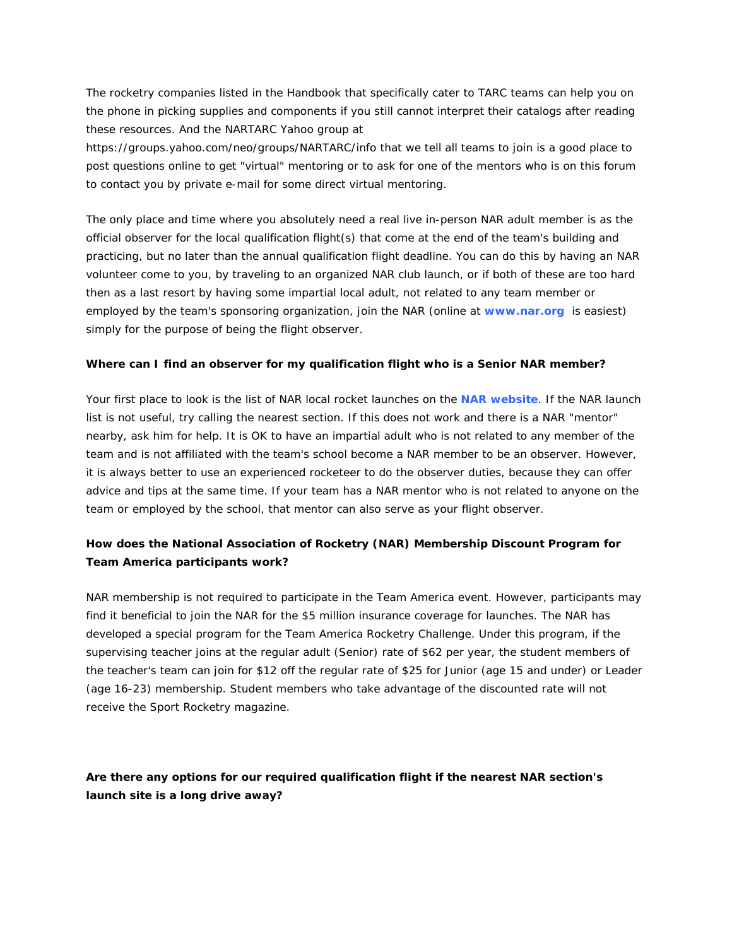The rocketry companies listed in the Handbook that specifically cater to TARC teams can help you on the phone in picking supplies and components if you still cannot interpret their catalogs after reading these resources. And the NARTARC Yahoo group at

https://groups.yahoo.com/neo/groups/NARTARC/info that we tell all teams to join is a good place to post questions online to get "virtual" mentoring or to ask for one of the mentors who is on this forum to contact you by private e-mail for some direct virtual mentoring.

The only place and time where you absolutely need a real live in-person NAR adult member is as the official observer for the local qualification flight(s) that come at the end of the team's building and practicing, but no later than the annual qualification flight deadline. You can do this by having an NAR volunteer come to you, by traveling to an organized NAR club launch, or if both of these are too hard then as a last resort by having some impartial local adult, not related to any team member or employed by the team's sponsoring organization, join the NAR (online at **[www.nar.org](http://www.nar.org/)** is easiest) simply for the purpose of being the flight observer.

#### **Where can I find an observer for my qualification flight who is a Senior NAR member?**

Your first place to look is the list of NAR local rocket launches on the **[NAR website](http://www.nar.org/)**. If the NAR launch list is not useful, try calling the nearest section. If this does not work and there is a NAR "mentor" nearby, ask him for help. It is OK to have an impartial adult who is not related to any member of the team and is not affiliated with the team's school become a NAR member to be an observer. However, it is always better to use an experienced rocketeer to do the observer duties, because they can offer advice and tips at the same time. If your team has a NAR mentor who is not related to anyone on the team or employed by the school, that mentor can also serve as your flight observer.

## **How does the National Association of Rocketry (NAR) Membership Discount Program for Team America participants work?**

NAR membership is not required to participate in the Team America event. However, participants may find it beneficial to join the NAR for the \$5 million insurance coverage for launches. The NAR has developed a special program for the Team America Rocketry Challenge. Under this program, if the supervising teacher joins at the regular adult (Senior) rate of \$62 per year, the student members of the teacher's team can join for \$12 off the regular rate of \$25 for Junior (age 15 and under) or Leader (age 16-23) membership. Student members who take advantage of the discounted rate will not receive the Sport Rocketry magazine.

## **Are there any options for our required qualification flight if the nearest NAR section's launch site is a long drive away?**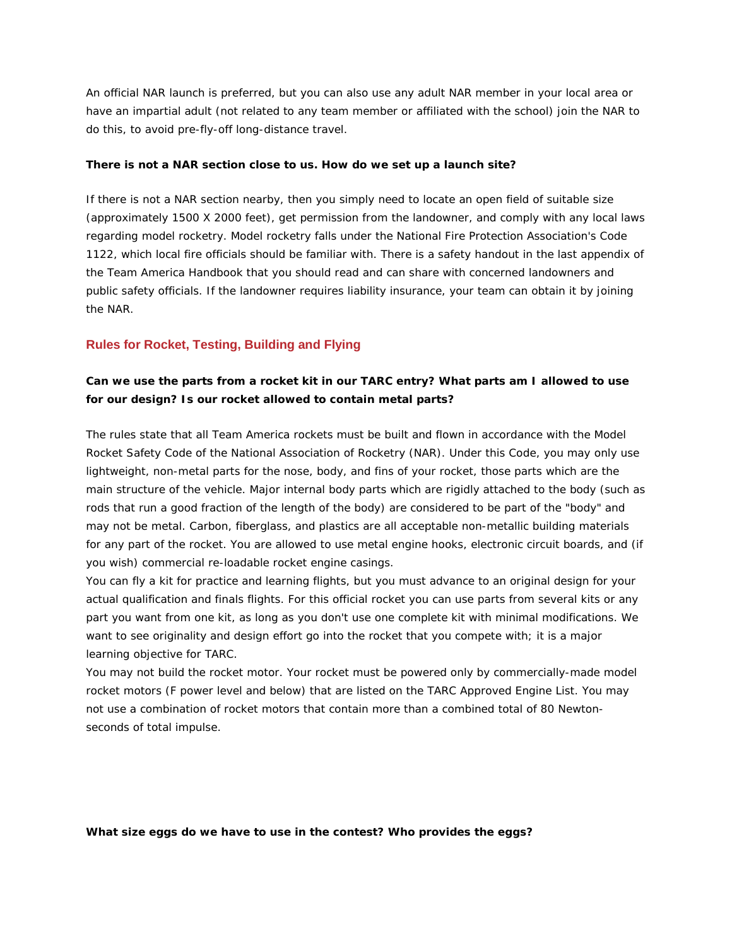An official NAR launch is preferred, but you can also use any adult NAR member in your local area or have an impartial adult (not related to any team member or affiliated with the school) join the NAR to do this, to avoid pre-fly-off long-distance travel.

#### **There is not a NAR section close to us. How do we set up a launch site?**

If there is not a NAR section nearby, then you simply need to locate an open field of suitable size (approximately 1500 X 2000 feet), get permission from the landowner, and comply with any local laws regarding model rocketry. Model rocketry falls under the National Fire Protection Association's Code 1122, which local fire officials should be familiar with. There is a safety handout in the last appendix of the Team America Handbook that you should read and can share with concerned landowners and public safety officials. If the landowner requires liability insurance, your team can obtain it by joining the NAR.

### **Rules for Rocket, Testing, Building and Flying**

### **Can we use the parts from a rocket kit in our TARC entry? What parts am I allowed to use for our design? Is our rocket allowed to contain metal parts?**

The rules state that all Team America rockets must be built and flown in accordance with the Model Rocket Safety Code of the National Association of Rocketry (NAR). Under this Code, you may only use lightweight, non-metal parts for the nose, body, and fins of your rocket, those parts which are the main structure of the vehicle. Major internal body parts which are rigidly attached to the body (such as rods that run a good fraction of the length of the body) are considered to be part of the "body" and may not be metal. Carbon, fiberglass, and plastics are all acceptable non-metallic building materials for any part of the rocket. You are allowed to use metal engine hooks, electronic circuit boards, and (if you wish) commercial re-loadable rocket engine casings.

You can fly a kit for practice and learning flights, but you must advance to an original design for your actual qualification and finals flights. For this official rocket you can use parts from several kits or any part you want from one kit, as long as you don't use one complete kit with minimal modifications. We want to see originality and design effort go into the rocket that you compete with; it is a major learning objective for TARC.

You may not build the rocket motor. Your rocket must be powered only by commercially-made model rocket motors (F power level and below) that are listed on the TARC Approved Engine List. You may not use a combination of rocket motors that contain more than a combined total of 80 Newtonseconds of total impulse.

**What size eggs do we have to use in the contest? Who provides the eggs?**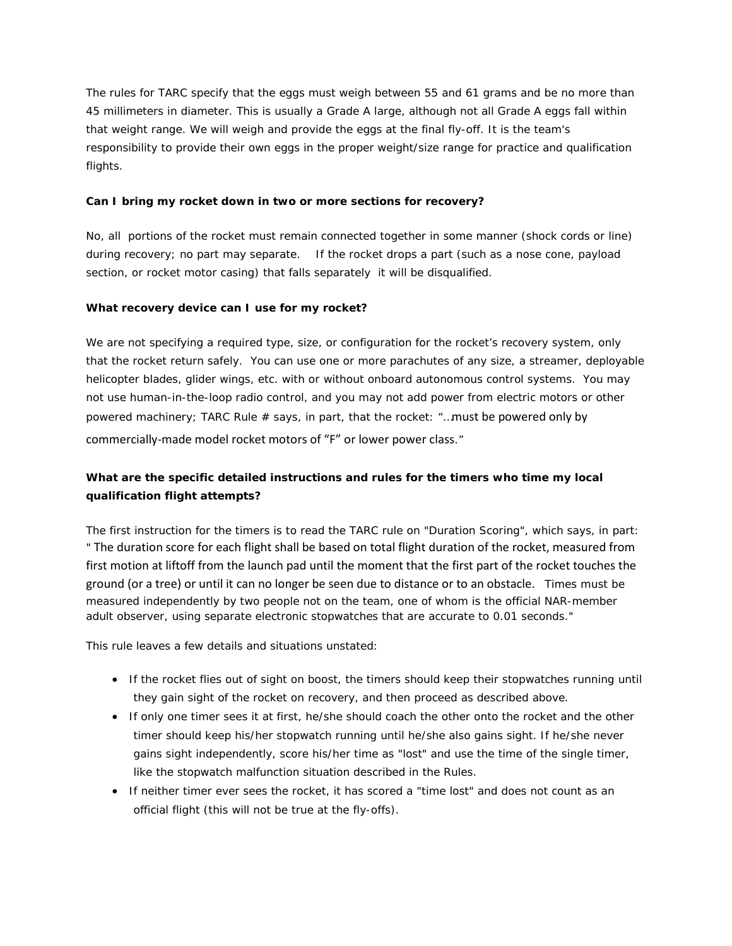The rules for TARC specify that the eggs must weigh between 55 and 61 grams and be no more than 45 millimeters in diameter. This is usually a Grade A large, although not all Grade A eggs fall within that weight range. We will weigh and provide the eggs at the final fly-off. It is the team's responsibility to provide their own eggs in the proper weight/size range for practice and qualification flights.

### **Can I bring my rocket down in two or more sections for recovery?**

No, all portions of the rocket must remain connected together in some manner (shock cords or line) during recovery; no part may separate. If the rocket drops a part (such as a nose cone, payload section, or rocket motor casing) that falls separately it will be disqualified.

### **What recovery device can I use for my rocket?**

We are not specifying a required type, size, or configuration for the rocket's recovery system, only that the rocket return safely. You can use one or more parachutes of any size, a streamer, deployable helicopter blades, glider wings, etc. with or without onboard autonomous control systems. You may not use human-in-the-loop radio control, and you may not add power from electric motors or other powered machinery; TARC Rule # says, in part, that the rocket: "…must be powered only by commercially-made model rocket motors of "F" or lower power class."

# **What are the specific detailed instructions and rules for the timers who time my local qualification flight attempts?**

The first instruction for the timers is to read the TARC rule on "Duration Scoring", which says, in part: " The duration score for each flight shall be based on total flight duration of the rocket, measured from first motion at liftoff from the launch pad until the moment that the first part of the rocket touches the ground (or a tree) or until it can no longer be seen due to distance or to an obstacle. Times must be measured independently by two people not on the team, one of whom is the official NAR-member adult observer, using separate electronic stopwatches that are accurate to 0.01 seconds."

This rule leaves a few details and situations unstated:

- If the rocket flies out of sight on boost, the timers should keep their stopwatches running until they gain sight of the rocket on recovery, and then proceed as described above.
- If only one timer sees it at first, he/she should coach the other onto the rocket and the other timer should keep his/her stopwatch running until he/she also gains sight. If he/she never gains sight independently, score his/her time as "lost" and use the time of the single timer, like the stopwatch malfunction situation described in the Rules.
- If neither timer ever sees the rocket, it has scored a "time lost" and does not count as an official flight (this will not be true at the fly-offs).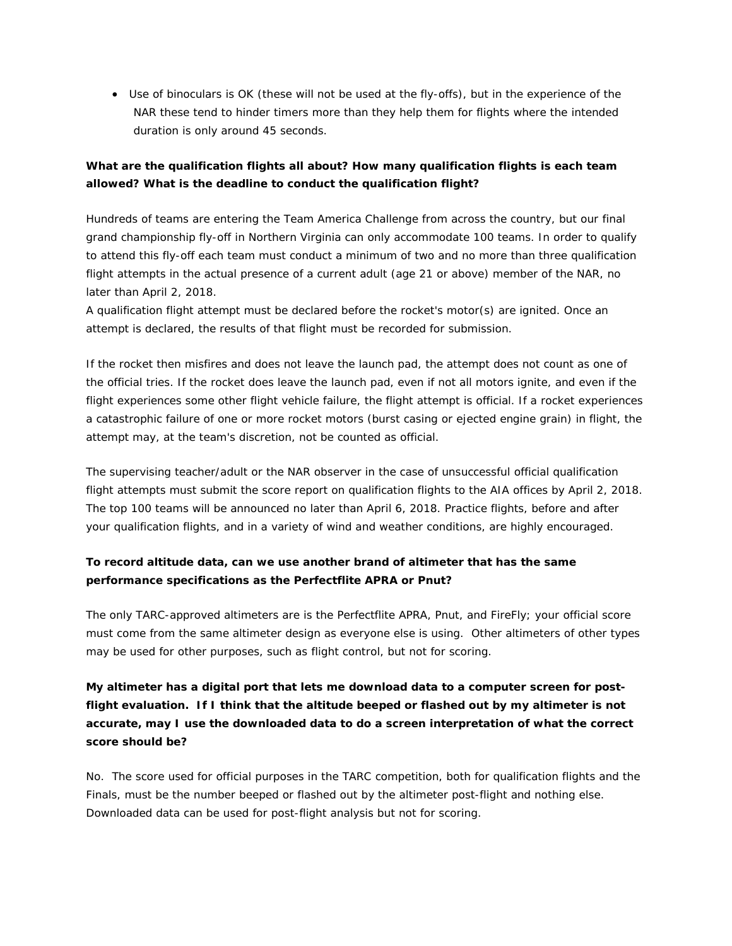• Use of binoculars is OK (these will not be used at the fly-offs), but in the experience of the NAR these tend to hinder timers more than they help them for flights where the intended duration is only around 45 seconds.

## **What are the qualification flights all about? How many qualification flights is each team allowed? What is the deadline to conduct the qualification flight?**

Hundreds of teams are entering the Team America Challenge from across the country, but our final grand championship fly-off in Northern Virginia can only accommodate 100 teams. In order to qualify to attend this fly-off each team must conduct a minimum of two and no more than three qualification flight attempts in the actual presence of a current adult (age 21 or above) member of the NAR, no later than April 2, 2018.

A qualification flight attempt must be declared before the rocket's motor(s) are ignited. Once an attempt is declared, the results of that flight must be recorded for submission.

If the rocket then misfires and does not leave the launch pad, the attempt does not count as one of the official tries. If the rocket does leave the launch pad, even if not all motors ignite, and even if the flight experiences some other flight vehicle failure, the flight attempt is official. If a rocket experiences a catastrophic failure of one or more rocket motors (burst casing or ejected engine grain) in flight, the attempt may, at the team's discretion, not be counted as official.

The supervising teacher/adult or the NAR observer in the case of unsuccessful official qualification flight attempts must submit the score report on qualification flights to the AIA offices by April 2, 2018. The top 100 teams will be announced no later than April 6, 2018. Practice flights, before and after your qualification flights, and in a variety of wind and weather conditions, are highly encouraged.

## **To record altitude data, can we use another brand of altimeter that has the same performance specifications as the Perfectflite APRA or Pnut?**

The only TARC-approved altimeters are is the Perfectflite APRA, Pnut, and FireFly; your official score must come from the same altimeter design as everyone else is using. Other altimeters of other types may be used for other purposes, such as flight control, but not for scoring.

# **My altimeter has a digital port that lets me download data to a computer screen for postflight evaluation. If I think that the altitude beeped or flashed out by my altimeter is not accurate, may I use the downloaded data to do a screen interpretation of what the correct score should be?**

No. The score used for official purposes in the TARC competition, both for qualification flights and the Finals, must be the number beeped or flashed out by the altimeter post-flight and nothing else. Downloaded data can be used for post-flight analysis but not for scoring.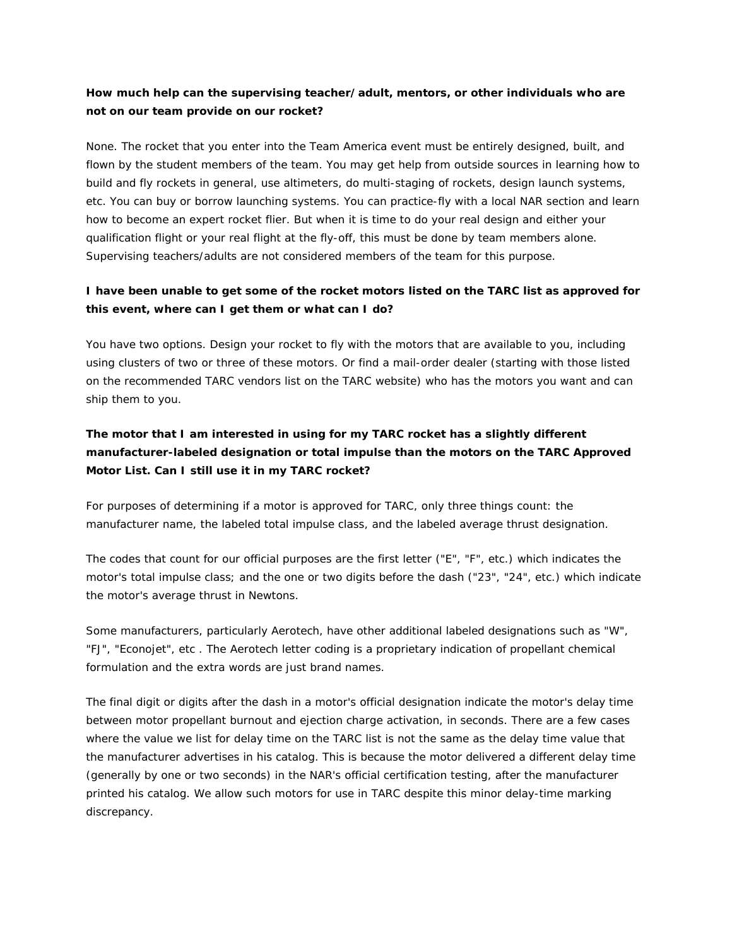## **How much help can the supervising teacher/adult, mentors, or other individuals who are not on our team provide on our rocket?**

None. The rocket that you enter into the Team America event must be entirely designed, built, and flown by the student members of the team. You may get help from outside sources in learning how to build and fly rockets in general, use altimeters, do multi-staging of rockets, design launch systems, etc. You can buy or borrow launching systems. You can practice-fly with a local NAR section and learn how to become an expert rocket flier. But when it is time to do your real design and either your qualification flight or your real flight at the fly-off, this must be done by team members alone. Supervising teachers/adults are not considered members of the team for this purpose.

## **I have been unable to get some of the rocket motors listed on the TARC list as approved for this event, where can I get them or what can I do?**

You have two options. Design your rocket to fly with the motors that are available to you, including using clusters of two or three of these motors. Or find a mail-order dealer (starting with those listed on the recommended TARC vendors list on the TARC website) who has the motors you want and can ship them to you.

# **The motor that I am interested in using for my TARC rocket has a slightly different manufacturer-labeled designation or total impulse than the motors on the TARC Approved Motor List. Can I still use it in my TARC rocket?**

For purposes of determining if a motor is approved for TARC, only three things count: the manufacturer name, the labeled total impulse class, and the labeled average thrust designation.

The codes that count for our official purposes are the first letter ("E", "F", etc.) which indicates the motor's total impulse class; and the one or two digits before the dash ("23", "24", etc.) which indicate the motor's average thrust in Newtons.

Some manufacturers, particularly Aerotech, have other additional labeled designations such as "W", "FJ", "Econojet", etc . The Aerotech letter coding is a proprietary indication of propellant chemical formulation and the extra words are just brand names.

The final digit or digits after the dash in a motor's official designation indicate the motor's delay time between motor propellant burnout and ejection charge activation, in seconds. There are a few cases where the value we list for delay time on the TARC list is not the same as the delay time value that the manufacturer advertises in his catalog. This is because the motor delivered a different delay time (generally by one or two seconds) in the NAR's official certification testing, after the manufacturer printed his catalog. We allow such motors for use in TARC despite this minor delay-time marking discrepancy.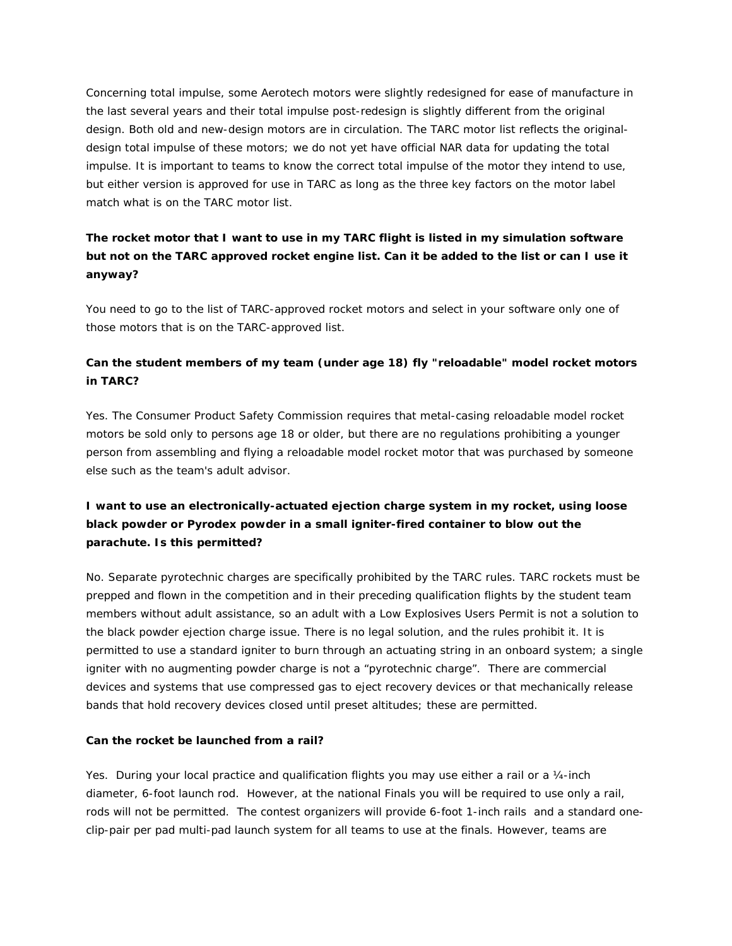Concerning total impulse, some Aerotech motors were slightly redesigned for ease of manufacture in the last several years and their total impulse post-redesign is slightly different from the original design. Both old and new-design motors are in circulation. The TARC motor list reflects the originaldesign total impulse of these motors; we do not yet have official NAR data for updating the total impulse. It is important to teams to know the correct total impulse of the motor they intend to use, but either version is approved for use in TARC as long as the three key factors on the motor label match what is on the TARC motor list.

# **The rocket motor that I want to use in my TARC flight is listed in my simulation software but not on the TARC approved rocket engine list. Can it be added to the list or can I use it anyway?**

You need to go to the list of TARC-approved rocket motors and select in your software only one of those motors that is on the TARC-approved list.

## **Can the student members of my team (under age 18) fly "reloadable" model rocket motors in TARC?**

Yes. The Consumer Product Safety Commission requires that metal-casing reloadable model rocket motors be sold only to persons age 18 or older, but there are no regulations prohibiting a younger person from assembling and flying a reloadable model rocket motor that was purchased by someone else such as the team's adult advisor.

# **I want to use an electronically-actuated ejection charge system in my rocket, using loose black powder or Pyrodex powder in a small igniter-fired container to blow out the parachute. Is this permitted?**

No. Separate pyrotechnic charges are specifically prohibited by the TARC rules. TARC rockets must be prepped and flown in the competition and in their preceding qualification flights by the student team members without adult assistance, so an adult with a Low Explosives Users Permit is not a solution to the black powder ejection charge issue. There is no legal solution, and the rules prohibit it. It is permitted to use a standard igniter to burn through an actuating string in an onboard system; a single igniter with no augmenting powder charge is not a "pyrotechnic charge". There are commercial devices and systems that use compressed gas to eject recovery devices or that mechanically release bands that hold recovery devices closed until preset altitudes; these are permitted.

### **Can the rocket be launched from a rail?**

Yes. During your local practice and qualification flights you may use either a rail or a 1/4-inch diameter, 6-foot launch rod. However, at the national Finals you will be required to use only a rail, rods will not be permitted. The contest organizers will provide 6-foot 1-inch rails and a standard oneclip-pair per pad multi-pad launch system for all teams to use at the finals. However, teams are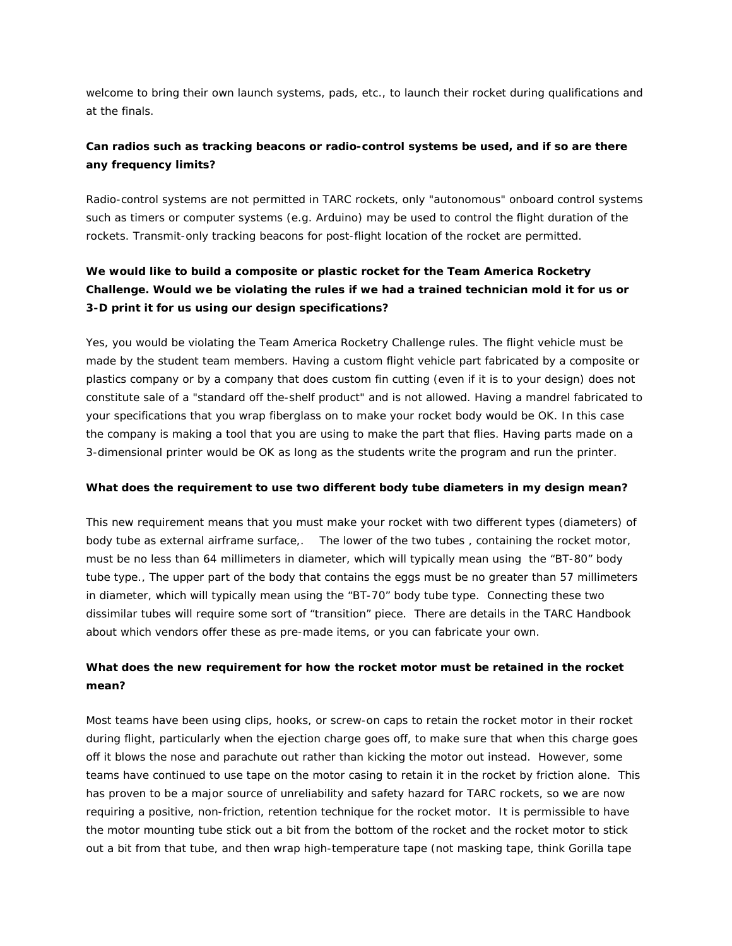welcome to bring their own launch systems, pads, etc., to launch their rocket during qualifications and at the finals.

## **Can radios such as tracking beacons or radio-control systems be used, and if so are there any frequency limits?**

Radio-control systems are not permitted in TARC rockets, only "autonomous" onboard control systems such as timers or computer systems (e.g. Arduino) may be used to control the flight duration of the rockets. Transmit-only tracking beacons for post-flight location of the rocket are permitted.

# **We would like to build a composite or plastic rocket for the Team America Rocketry Challenge. Would we be violating the rules if we had a trained technician mold it for us or 3-D print it for us using our design specifications?**

Yes, you would be violating the Team America Rocketry Challenge rules. The flight vehicle must be made by the student team members. Having a custom flight vehicle part fabricated by a composite or plastics company or by a company that does custom fin cutting (even if it is to your design) does not constitute sale of a "standard off the-shelf product" and is not allowed. Having a mandrel fabricated to your specifications that you wrap fiberglass on to make your rocket body would be OK. In this case the company is making a tool that you are using to make the part that flies. Having parts made on a 3-dimensional printer would be OK as long as the students write the program and run the printer.

### **What does the requirement to use two different body tube diameters in my design mean?**

This new requirement means that you must make your rocket with two different types (diameters) of body tube as external airframe surface,. The lower of the two tubes , containing the rocket motor, must be no less than 64 millimeters in diameter, which will typically mean using the "BT-80" body tube type., The upper part of the body that contains the eggs must be no greater than 57 millimeters in diameter, which will typically mean using the "BT-70" body tube type. Connecting these two dissimilar tubes will require some sort of "transition" piece. There are details in the TARC Handbook about which vendors offer these as pre-made items, or you can fabricate your own.

## **What does the new requirement for how the rocket motor must be retained in the rocket mean?**

Most teams have been using clips, hooks, or screw-on caps to retain the rocket motor in their rocket during flight, particularly when the ejection charge goes off, to make sure that when this charge goes off it blows the nose and parachute out rather than kicking the motor out instead. However, some teams have continued to use tape on the motor casing to retain it in the rocket by friction alone. This has proven to be a major source of unreliability and safety hazard for TARC rockets, so we are now requiring a positive, non-friction, retention technique for the rocket motor. It is permissible to have the motor mounting tube stick out a bit from the bottom of the rocket and the rocket motor to stick out a bit from that tube, and then wrap high-temperature tape (not masking tape, think Gorilla tape